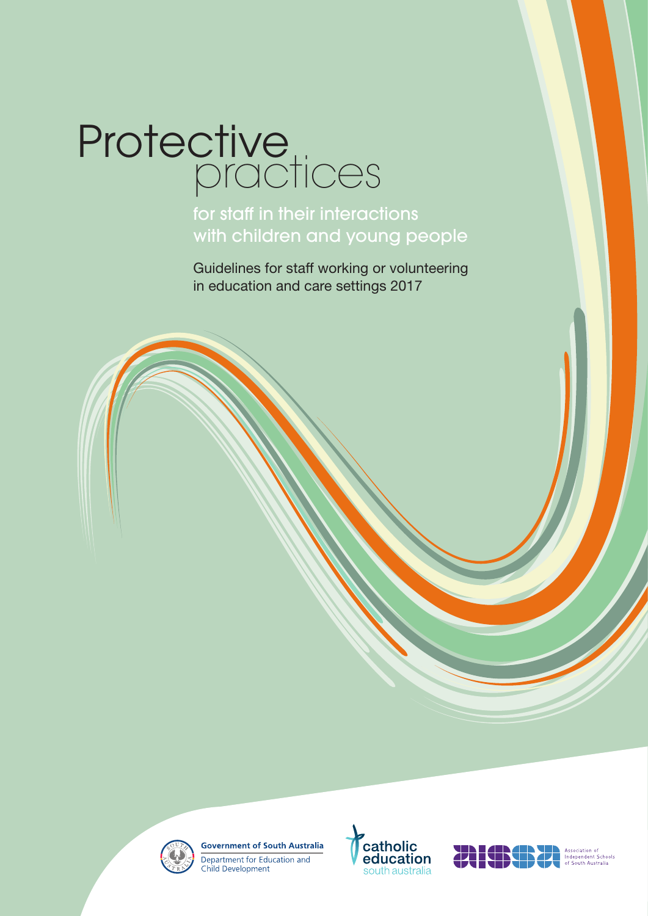# Protective<br>practices

for staff in their interactions with children and young people

Guidelines for staff working or volunteering in education and care settings 2017



**Government of South Australia** Department for Education and<br>Child Development



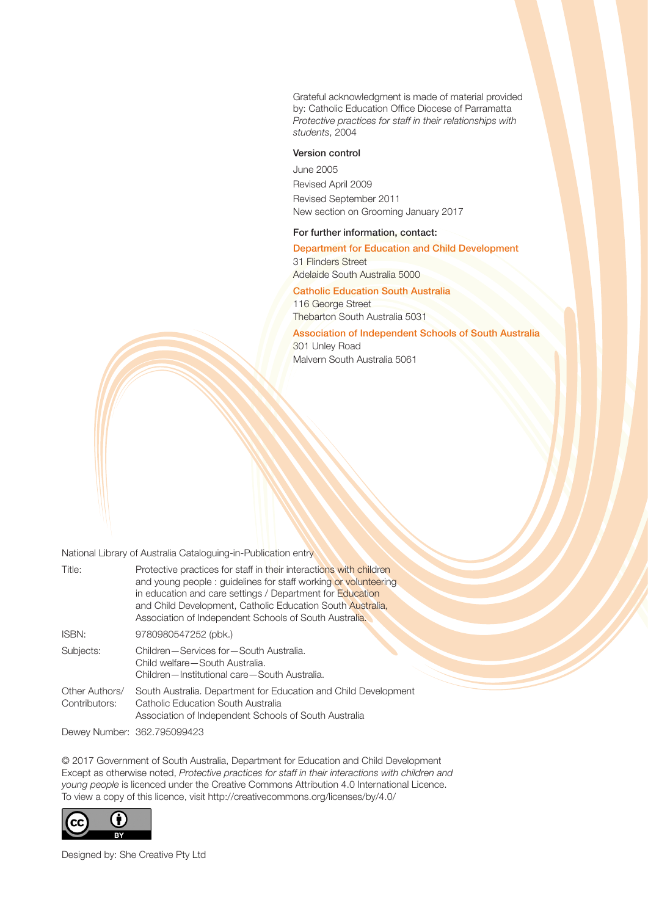Grateful acknowledgment is made of material provided by: Catholic Education Office Diocese of Parramatta *Protective practices for staff in their relationships with students*, 2004

#### Version control

June 2005 Revised April 2009 Revised September 2011 New section on Grooming January 2017

#### For further information, contact:

#### Department for Education and Child Development 31 Flinders Street

Adelaide South Australia 5000

Catholic Education South Australia 116 George Street Thebarton South Australia 5031

Association of Independent Schools of South Australia 301 Unley Road Malvern South Australia 5061

National Library of Australia Cataloguing-in-Publication entry

| Title:                          | Protective practices for staff in their interactions with children<br>and young people: guidelines for staff working or volunteering<br>in education and care settings / Department for Education<br>and Child Development, Catholic Education South Australia,<br>Association of Independent Schools of South Australia. |
|---------------------------------|---------------------------------------------------------------------------------------------------------------------------------------------------------------------------------------------------------------------------------------------------------------------------------------------------------------------------|
| ISBN:                           | 9780980547252 (pbk.)                                                                                                                                                                                                                                                                                                      |
| Subjects:                       | Children - Services for - South Australia.<br>Child welfare - South Australia.<br>Children - Institutional care - South Australia.                                                                                                                                                                                        |
| Other Authors/<br>Contributors: | South Australia. Department for Education and Child Development<br>Catholic Education South Australia<br>Association of Independent Schools of South Australia                                                                                                                                                            |
|                                 |                                                                                                                                                                                                                                                                                                                           |

Dewey Number: 362.795099423

© 2017 Government of South Australia, Department for Education and Child Development Except as otherwise noted, *Protective practices for staff in their interactions with children and young people* is licenced under the Creative Commons Attribution 4.0 International Licence. To view a copy of this licence, visit http://creativecommons.org/licenses/by/4.0/



Designed by: She Creative Pty Ltd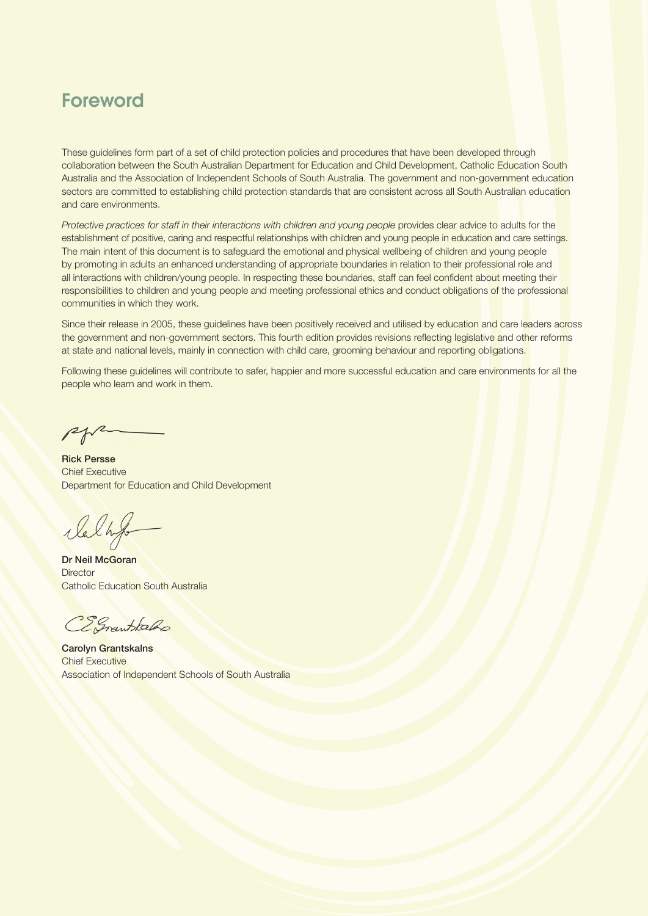# Foreword

These guidelines form part of a set of child protection policies and procedures that have been developed through collaboration between the South Australian Department for Education and Child Development, Catholic Education South Australia and the Association of Independent Schools of South Australia. The government and non-government education sectors are committed to establishing child protection standards that are consistent across all South Australian education and care environments.

*Protective practices for staff in their interactions with children and young people* provides clear advice to adults for the establishment of positive, caring and respectful relationships with children and young people in education and care settings. The main intent of this document is to safeguard the emotional and physical wellbeing of children and young people by promoting in adults an enhanced understanding of appropriate boundaries in relation to their professional role and all interactions with children/young people. In respecting these boundaries, staff can feel confident about meeting their responsibilities to children and young people and meeting professional ethics and conduct obligations of the professional communities in which they work.

Since their release in 2005, these guidelines have been positively received and utilised by education and care leaders across the government and non-government sectors. This fourth edition provides revisions reflecting legislative and other reforms at state and national levels, mainly in connection with child care, grooming behaviour and reporting obligations.

Following these guidelines will contribute to safer, happier and more successful education and care environments for all the people who learn and work in them.

Rick Persse Chief Executive Department for Education and Child Development

lal higo

Dr Neil McGoran **Director Catholic Education South Australia** 

CE Granthalho

Carolyn Grantskalns **Chief Executive** Association of Independent Schools of South Australia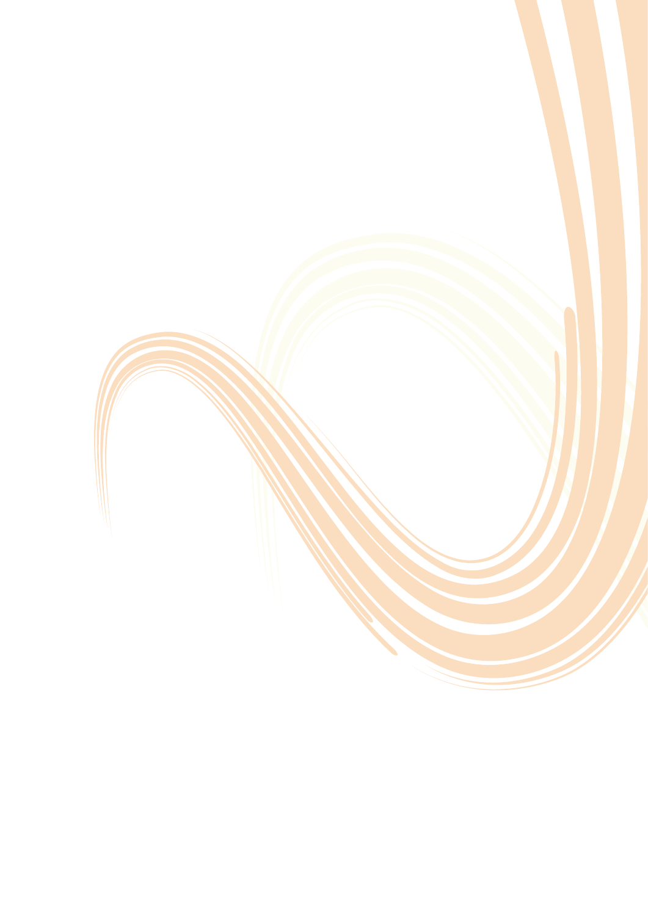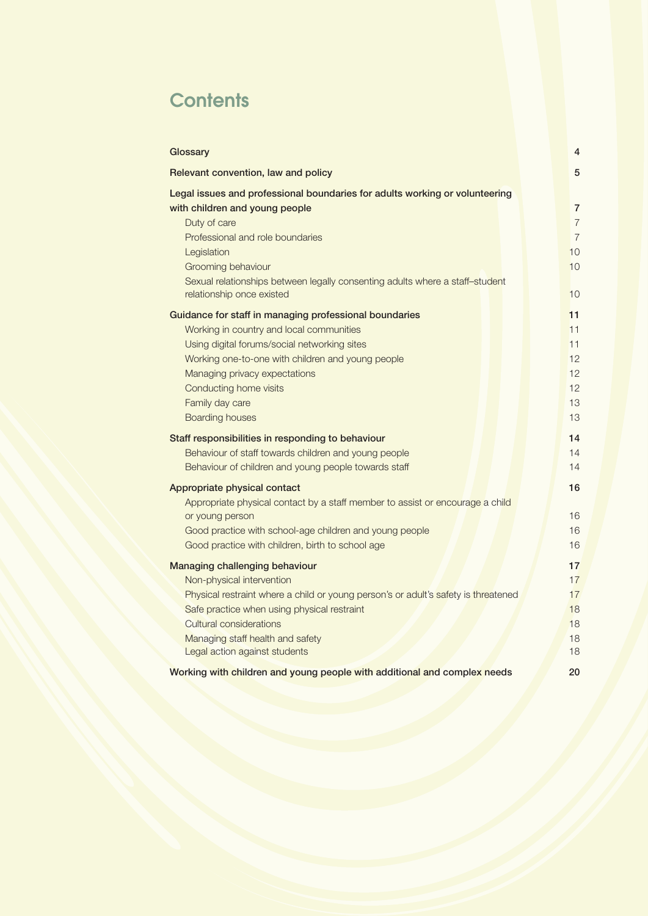# **Contents**

| Glossary                                                                                                                                                                                                                                                                                                            |  | 4                                                       |
|---------------------------------------------------------------------------------------------------------------------------------------------------------------------------------------------------------------------------------------------------------------------------------------------------------------------|--|---------------------------------------------------------|
| Relevant convention, law and policy                                                                                                                                                                                                                                                                                 |  | 5                                                       |
| Legal issues and professional boundaries for adults working or volunteering<br>with children and young people<br>Duty of care<br>Professional and role boundaries<br>Legislation<br>Grooming behaviour<br>Sexual relationships between legally consenting adults where a staff-student<br>relationship once existed |  | 7<br>$\overline{7}$<br>$\overline{7}$<br>10<br>10<br>10 |
| Guidance for staff in managing professional boundaries<br>Working in country and local communities<br>Using digital forums/social networking sites<br>Working one-to-one with children and young people<br>Managing privacy expectations<br>Conducting home visits<br>Family day care<br><b>Boarding houses</b>     |  | 11<br>11<br>11<br>12<br>12<br>12<br>13<br>13            |
| Staff responsibilities in responding to behaviour<br>Behaviour of staff towards children and young people<br>Behaviour of children and young people towards staff                                                                                                                                                   |  | 14<br>14<br>14                                          |
| Appropriate physical contact<br>Appropriate physical contact by a staff member to assist or encourage a child<br>or young person<br>Good practice with school-age children and young people<br>Good practice with children, birth to school age                                                                     |  | 16<br>16<br>16<br>16                                    |
| Managing challenging behaviour<br>Non-physical intervention<br>Physical restraint where a child or young person's or adult's safety is threatened<br>Safe practice when using physical restraint<br><b>Cultural considerations</b><br>Managing staff health and safety<br>Legal action against students             |  | 17<br>17<br>17<br>18<br>18<br>18<br>18                  |
| Working with children and young people with additional and complex needs                                                                                                                                                                                                                                            |  | 20                                                      |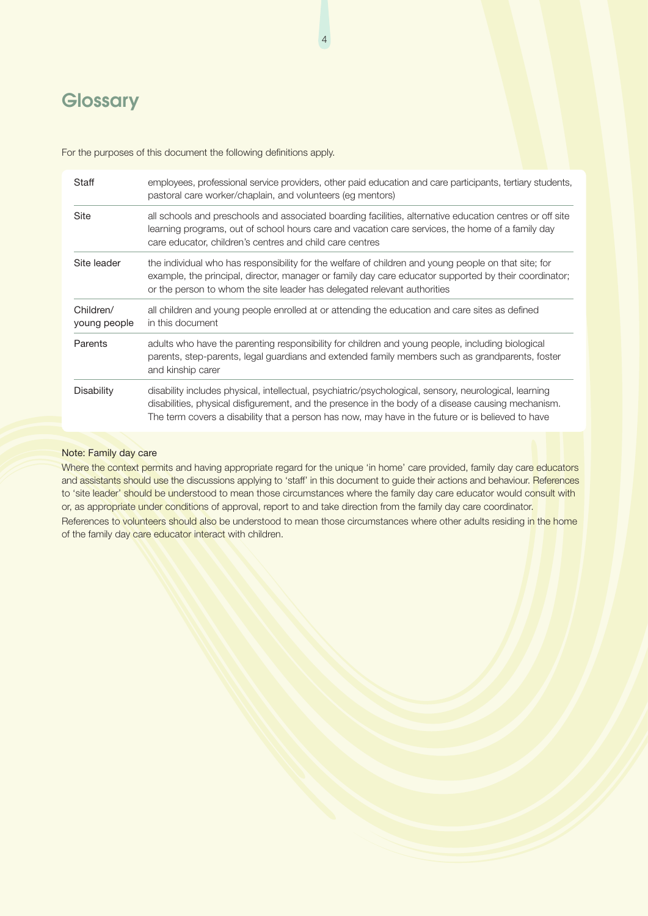# **Glossary**

For the purposes of this document the following definitions apply.

| Staff                     | employees, professional service providers, other paid education and care participants, tertiary students,<br>pastoral care worker/chaplain, and volunteers (eg mentors)                                                                                                                                           |
|---------------------------|-------------------------------------------------------------------------------------------------------------------------------------------------------------------------------------------------------------------------------------------------------------------------------------------------------------------|
| Site                      | all schools and preschools and associated boarding facilities, alternative education centres or off site<br>learning programs, out of school hours care and vacation care services, the home of a family day<br>care educator, children's centres and child care centres                                          |
| Site leader               | the individual who has responsibility for the welfare of children and young people on that site; for<br>example, the principal, director, manager or family day care educator supported by their coordinator;<br>or the person to whom the site leader has delegated relevant authorities                         |
| Children/<br>young people | all children and young people enrolled at or attending the education and care sites as defined<br>in this document                                                                                                                                                                                                |
| Parents                   | adults who have the parenting responsibility for children and young people, including biological<br>parents, step-parents, legal guardians and extended family members such as grandparents, foster<br>and kinship carer                                                                                          |
| Disability                | disability includes physical, intellectual, psychiatric/psychological, sensory, neurological, learning<br>disabilities, physical disfigurement, and the presence in the body of a disease causing mechanism.<br>The term covers a disability that a person has now, may have in the future or is believed to have |

4

#### Note: Family day care

Where the context permits and having appropriate regard for the unique 'in home' care provided, family day care educators and assistants should use the discussions applying to 'staff' in this document to guide their actions and behaviour. References to 'site leader' should be understood to mean those circumstances where the family day care educator would consult with or, as appropriate under conditions of approval, report to and take direction from the family day care coordinator. References to volunteers should also be understood to mean those circumstances where other adults residing in the home of the family day care educator interact with children.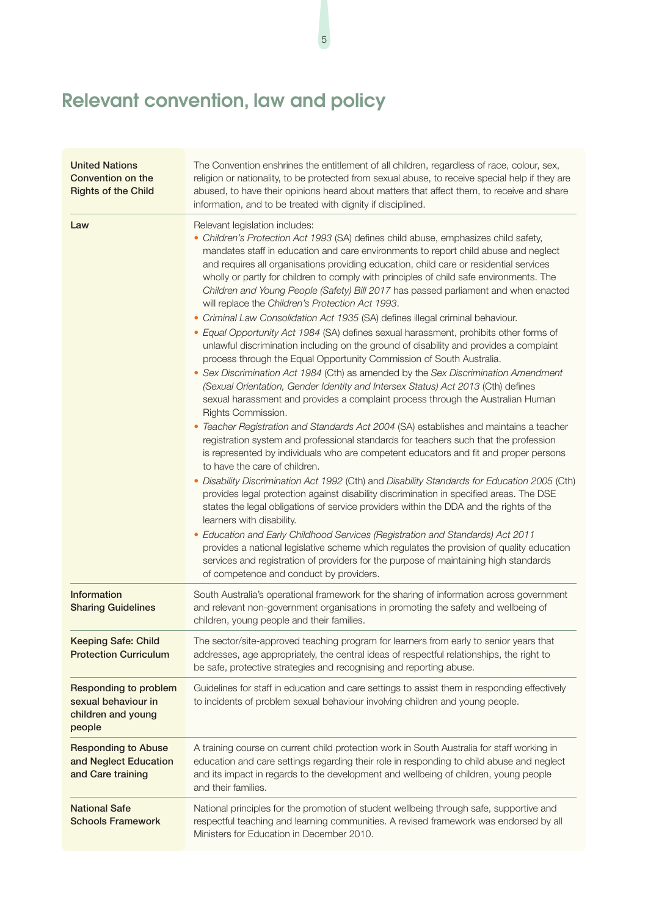5

# Relevant convention, law and policy

| <b>United Nations</b><br>Convention on the<br><b>Rights of the Child</b>            | The Convention enshrines the entitlement of all children, regardless of race, colour, sex,<br>religion or nationality, to be protected from sexual abuse, to receive special help if they are<br>abused, to have their opinions heard about matters that affect them, to receive and share<br>information, and to be treated with dignity if disciplined.                                                                                                                                                                                                                                                                                                                                                                                                                                                                                                                                                                                                                                                                                                                                                                                                                                                                                                                                                                                                                                                                                                                                                                                                                                                                                                                                                                                                                                                                                                                                                                                                                                                                                                                                                                   |
|-------------------------------------------------------------------------------------|-----------------------------------------------------------------------------------------------------------------------------------------------------------------------------------------------------------------------------------------------------------------------------------------------------------------------------------------------------------------------------------------------------------------------------------------------------------------------------------------------------------------------------------------------------------------------------------------------------------------------------------------------------------------------------------------------------------------------------------------------------------------------------------------------------------------------------------------------------------------------------------------------------------------------------------------------------------------------------------------------------------------------------------------------------------------------------------------------------------------------------------------------------------------------------------------------------------------------------------------------------------------------------------------------------------------------------------------------------------------------------------------------------------------------------------------------------------------------------------------------------------------------------------------------------------------------------------------------------------------------------------------------------------------------------------------------------------------------------------------------------------------------------------------------------------------------------------------------------------------------------------------------------------------------------------------------------------------------------------------------------------------------------------------------------------------------------------------------------------------------------|
| Law                                                                                 | Relevant legislation includes:<br>• Children's Protection Act 1993 (SA) defines child abuse, emphasizes child safety,<br>mandates staff in education and care environments to report child abuse and neglect<br>and requires all organisations providing education, child care or residential services<br>wholly or partly for children to comply with principles of child safe environments. The<br>Children and Young People (Safety) Bill 2017 has passed parliament and when enacted<br>will replace the Children's Protection Act 1993.<br>• Criminal Law Consolidation Act 1935 (SA) defines illegal criminal behaviour.<br>• Equal Opportunity Act 1984 (SA) defines sexual harassment, prohibits other forms of<br>unlawful discrimination including on the ground of disability and provides a complaint<br>process through the Equal Opportunity Commission of South Australia.<br>• Sex Discrimination Act 1984 (Cth) as amended by the Sex Discrimination Amendment<br>(Sexual Orientation, Gender Identity and Intersex Status) Act 2013 (Cth) defines<br>sexual harassment and provides a complaint process through the Australian Human<br>Rights Commission.<br>• Teacher Registration and Standards Act 2004 (SA) establishes and maintains a teacher<br>registration system and professional standards for teachers such that the profession<br>is represented by individuals who are competent educators and fit and proper persons<br>to have the care of children.<br>· Disability Discrimination Act 1992 (Cth) and Disability Standards for Education 2005 (Cth)<br>provides legal protection against disability discrimination in specified areas. The DSE<br>states the legal obligations of service providers within the DDA and the rights of the<br>learners with disability.<br>• Education and Early Childhood Services (Registration and Standards) Act 2011<br>provides a national legislative scheme which regulates the provision of quality education<br>services and registration of providers for the purpose of maintaining high standards<br>of competence and conduct by providers. |
| Information<br><b>Sharing Guidelines</b>                                            | South Australia's operational framework for the sharing of information across government<br>and relevant non-government organisations in promoting the safety and wellbeing of<br>children, young people and their families.                                                                                                                                                                                                                                                                                                                                                                                                                                                                                                                                                                                                                                                                                                                                                                                                                                                                                                                                                                                                                                                                                                                                                                                                                                                                                                                                                                                                                                                                                                                                                                                                                                                                                                                                                                                                                                                                                                |
| Keeping Safe: Child<br><b>Protection Curriculum</b>                                 | The sector/site-approved teaching program for learners from early to senior years that<br>addresses, age appropriately, the central ideas of respectful relationships, the right to<br>be safe, protective strategies and recognising and reporting abuse.                                                                                                                                                                                                                                                                                                                                                                                                                                                                                                                                                                                                                                                                                                                                                                                                                                                                                                                                                                                                                                                                                                                                                                                                                                                                                                                                                                                                                                                                                                                                                                                                                                                                                                                                                                                                                                                                  |
| <b>Responding to problem</b><br>sexual behaviour in<br>children and young<br>people | Guidelines for staff in education and care settings to assist them in responding effectively<br>to incidents of problem sexual behaviour involving children and young people.                                                                                                                                                                                                                                                                                                                                                                                                                                                                                                                                                                                                                                                                                                                                                                                                                                                                                                                                                                                                                                                                                                                                                                                                                                                                                                                                                                                                                                                                                                                                                                                                                                                                                                                                                                                                                                                                                                                                               |
| <b>Responding to Abuse</b><br>and Neglect Education<br>and Care training            | A training course on current child protection work in South Australia for staff working in<br>education and care settings regarding their role in responding to child abuse and neglect<br>and its impact in regards to the development and wellbeing of children, young people<br>and their families.                                                                                                                                                                                                                                                                                                                                                                                                                                                                                                                                                                                                                                                                                                                                                                                                                                                                                                                                                                                                                                                                                                                                                                                                                                                                                                                                                                                                                                                                                                                                                                                                                                                                                                                                                                                                                      |
| <b>National Safe</b><br><b>Schools Framework</b>                                    | National principles for the promotion of student wellbeing through safe, supportive and<br>respectful teaching and learning communities. A revised framework was endorsed by all<br>Ministers for Education in December 2010.                                                                                                                                                                                                                                                                                                                                                                                                                                                                                                                                                                                                                                                                                                                                                                                                                                                                                                                                                                                                                                                                                                                                                                                                                                                                                                                                                                                                                                                                                                                                                                                                                                                                                                                                                                                                                                                                                               |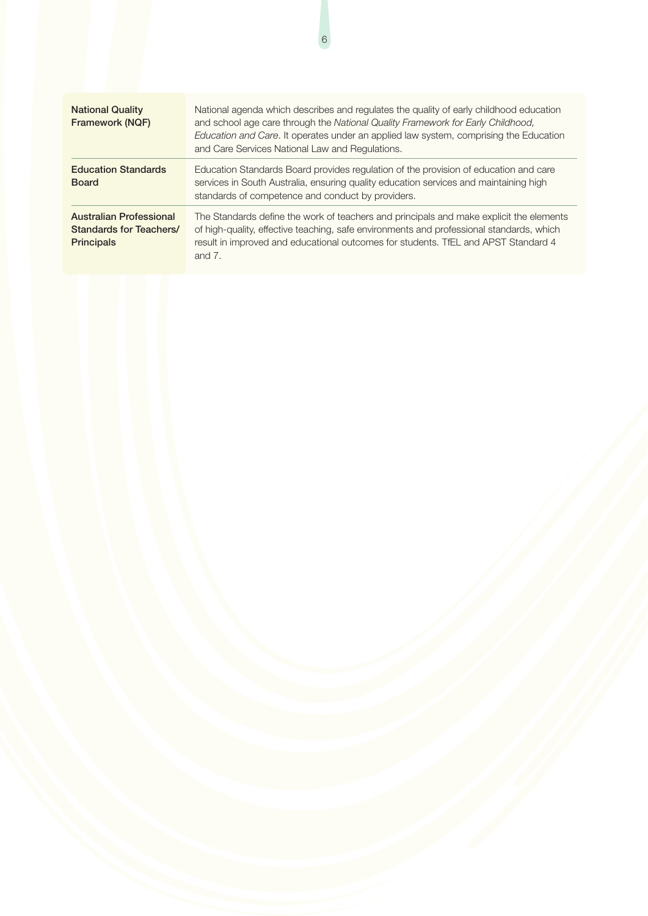| <b>National Quality</b><br>Framework (NQF)                              | National agenda which describes and regulates the quality of early childhood education<br>and school age care through the National Quality Framework for Early Childhood,<br>Education and Care. It operates under an applied law system, comprising the Education<br>and Care Services National Law and Regulations. |
|-------------------------------------------------------------------------|-----------------------------------------------------------------------------------------------------------------------------------------------------------------------------------------------------------------------------------------------------------------------------------------------------------------------|
| <b>Education Standards</b><br><b>Board</b>                              | Education Standards Board provides regulation of the provision of education and care<br>services in South Australia, ensuring quality education services and maintaining high<br>standards of competence and conduct by providers.                                                                                    |
| Australian Professional<br>Standards for Teachers/<br><b>Principals</b> | The Standards define the work of teachers and principals and make explicit the elements<br>of high-quality, effective teaching, safe environments and professional standards, which<br>result in improved and educational outcomes for students. TfEL and APST Standard 4<br>and $7.$                                 |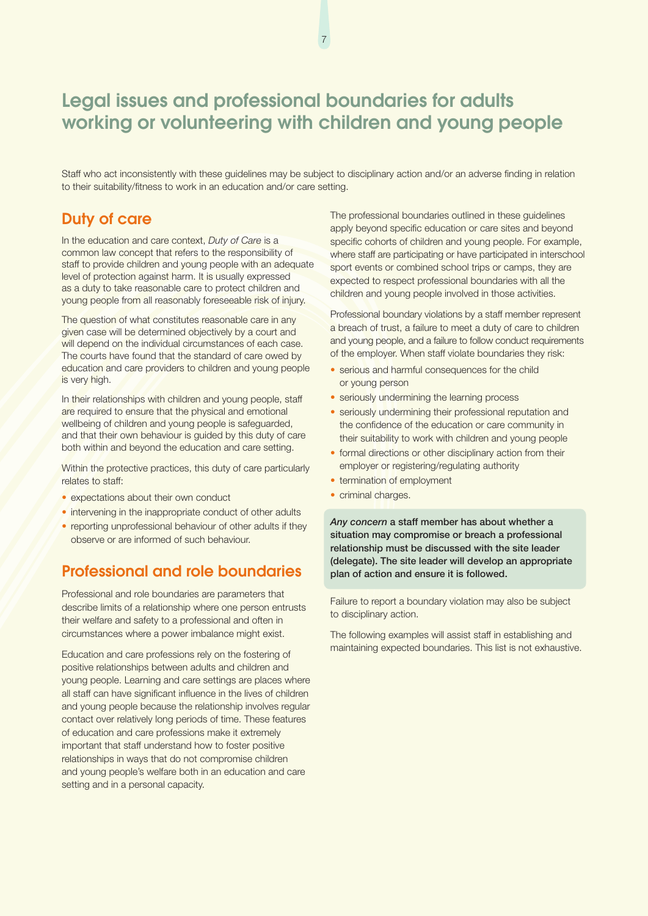# Legal issues and professional boundaries for adults working or volunteering with children and young people

Staff who act inconsistently with these guidelines may be subject to disciplinary action and/or an adverse finding in relation to their suitability/fitness to work in an education and/or care setting.

#### Duty of care

In the education and care context, *Duty of Care* is a common law concept that refers to the responsibility of staff to provide children and young people with an adequate level of protection against harm. It is usually expressed as a duty to take reasonable care to protect children and young people from all reasonably foreseeable risk of injury.

The question of what constitutes reasonable care in any given case will be determined objectively by a court and will depend on the individual circumstances of each case. The courts have found that the standard of care owed by education and care providers to children and young people is very high.

In their relationships with children and young people, staff are required to ensure that the physical and emotional wellbeing of children and young people is safeguarded, and that their own behaviour is guided by this duty of care both within and beyond the education and care setting.

Within the protective practices, this duty of care particularly relates to staff:

- expectations about their own conduct
- intervening in the inappropriate conduct of other adults
- reporting unprofessional behaviour of other adults if they observe or are informed of such behaviour.

## Professional and role boundaries

Professional and role boundaries are parameters that describe limits of a relationship where one person entrusts their welfare and safety to a professional and often in circumstances where a power imbalance might exist.

Education and care professions rely on the fostering of positive relationships between adults and children and young people. Learning and care settings are places where all staff can have significant influence in the lives of children and young people because the relationship involves regular contact over relatively long periods of time. These features of education and care professions make it extremely important that staff understand how to foster positive relationships in ways that do not compromise children and young people's welfare both in an education and care setting and in a personal capacity.

The professional boundaries outlined in these guidelines apply beyond specific education or care sites and beyond specific cohorts of children and young people. For example, where staff are participating or have participated in interschool sport events or combined school trips or camps, they are expected to respect professional boundaries with all the children and young people involved in those activities.

Professional boundary violations by a staff member represent a breach of trust, a failure to meet a duty of care to children and young people, and a failure to follow conduct requirements of the employer. When staff violate boundaries they risk:

- serious and harmful consequences for the child or young person
- seriously undermining the learning process
- seriously undermining their professional reputation and the confidence of the education or care community in their suitability to work with children and young people
- formal directions or other disciplinary action from their employer or registering/regulating authority
- termination of employment
- criminal charges.

*Any concern* a staff member has about whether a situation may compromise or breach a professional relationship must be discussed with the site leader (delegate). The site leader will develop an appropriate plan of action and ensure it is followed.

Failure to report a boundary violation may also be subject to disciplinary action.

The following examples will assist staff in establishing and maintaining expected boundaries. This list is not exhaustive.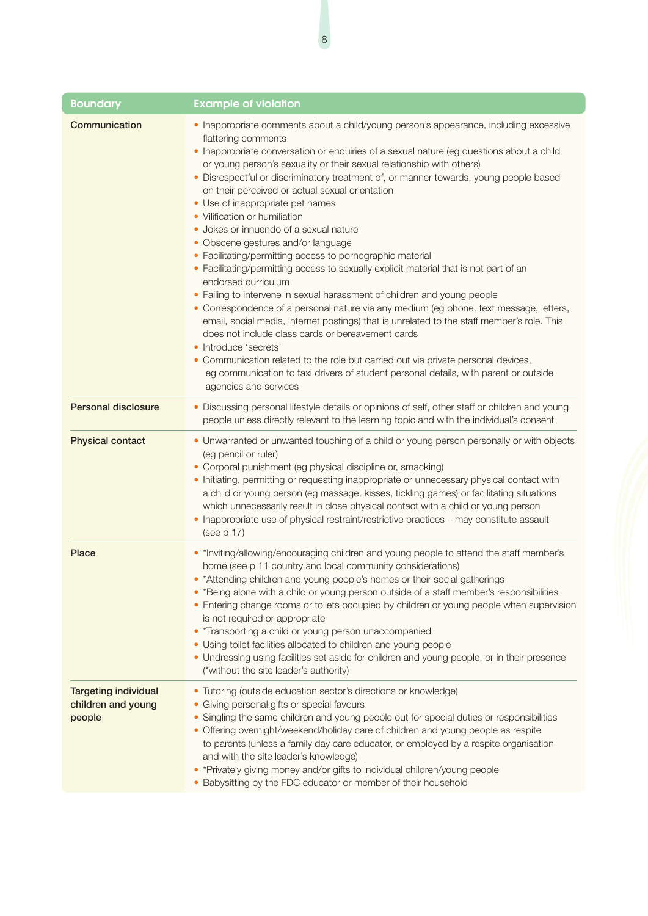| <b>Boundary</b>                                             | <b>Example of violation</b>                                                                                                                                                                                                                                                                                                                                                                                                                                                                                                                                                                                                                                                                                                                                                                                                                                                                                                                                                                                                                                                                                                                                                                                                                                                                                             |
|-------------------------------------------------------------|-------------------------------------------------------------------------------------------------------------------------------------------------------------------------------------------------------------------------------------------------------------------------------------------------------------------------------------------------------------------------------------------------------------------------------------------------------------------------------------------------------------------------------------------------------------------------------------------------------------------------------------------------------------------------------------------------------------------------------------------------------------------------------------------------------------------------------------------------------------------------------------------------------------------------------------------------------------------------------------------------------------------------------------------------------------------------------------------------------------------------------------------------------------------------------------------------------------------------------------------------------------------------------------------------------------------------|
| Communication                                               | · Inappropriate comments about a child/young person's appearance, including excessive<br>flattering comments<br>• Inappropriate conversation or enquiries of a sexual nature (eg questions about a child<br>or young person's sexuality or their sexual relationship with others)<br>• Disrespectful or discriminatory treatment of, or manner towards, young people based<br>on their perceived or actual sexual orientation<br>• Use of inappropriate pet names<br>• Vilification or humiliation<br>• Jokes or innuendo of a sexual nature<br>• Obscene gestures and/or language<br>• Facilitating/permitting access to pornographic material<br>• Facilitating/permitting access to sexually explicit material that is not part of an<br>endorsed curriculum<br>• Failing to intervene in sexual harassment of children and young people<br>· Correspondence of a personal nature via any medium (eg phone, text message, letters,<br>email, social media, internet postings) that is unrelated to the staff member's role. This<br>does not include class cards or bereavement cards<br>· Introduce 'secrets'<br>• Communication related to the role but carried out via private personal devices,<br>eg communication to taxi drivers of student personal details, with parent or outside<br>agencies and services |
| <b>Personal disclosure</b>                                  | • Discussing personal lifestyle details or opinions of self, other staff or children and young<br>people unless directly relevant to the learning topic and with the individual's consent                                                                                                                                                                                                                                                                                                                                                                                                                                                                                                                                                                                                                                                                                                                                                                                                                                                                                                                                                                                                                                                                                                                               |
| <b>Physical contact</b>                                     | • Unwarranted or unwanted touching of a child or young person personally or with objects<br>(eg pencil or ruler)<br>• Corporal punishment (eg physical discipline or, smacking)<br>• Initiating, permitting or requesting inappropriate or unnecessary physical contact with<br>a child or young person (eg massage, kisses, tickling games) or facilitating situations<br>which unnecessarily result in close physical contact with a child or young person<br>• Inappropriate use of physical restraint/restrictive practices - may constitute assault<br>(see p 17)                                                                                                                                                                                                                                                                                                                                                                                                                                                                                                                                                                                                                                                                                                                                                  |
| Place                                                       | • *Inviting/allowing/encouraging children and young people to attend the staff member's<br>home (see p 11 country and local community considerations)<br>*Attending children and young people's homes or their social gatherings<br>*Being alone with a child or young person outside of a staff member's responsibilities<br>• Entering change rooms or toilets occupied by children or young people when supervision<br>is not required or appropriate<br>• *Transporting a child or young person unaccompanied<br>• Using toilet facilities allocated to children and young people<br>• Undressing using facilities set aside for children and young people, or in their presence<br>(*without the site leader's authority)                                                                                                                                                                                                                                                                                                                                                                                                                                                                                                                                                                                          |
| <b>Targeting individual</b><br>children and young<br>people | • Tutoring (outside education sector's directions or knowledge)<br>• Giving personal gifts or special favours<br>Singling the same children and young people out for special duties or responsibilities<br>٠<br>• Offering overnight/weekend/holiday care of children and young people as respite<br>to parents (unless a family day care educator, or employed by a respite organisation<br>and with the site leader's knowledge)<br>• *Privately giving money and/or gifts to individual children/young people<br>Babysitting by the FDC educator or member of their household                                                                                                                                                                                                                                                                                                                                                                                                                                                                                                                                                                                                                                                                                                                                        |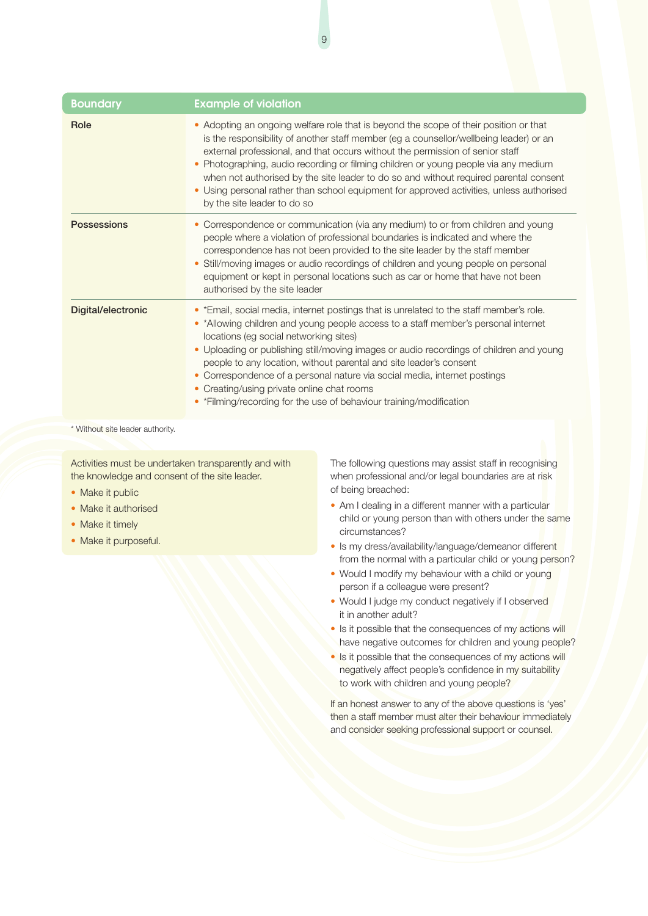| <b>Boundary</b>    | <b>Example of violation</b>                                                                                                                                                                                                                                                                                                                                                                                                                                                                                                                                                                |
|--------------------|--------------------------------------------------------------------------------------------------------------------------------------------------------------------------------------------------------------------------------------------------------------------------------------------------------------------------------------------------------------------------------------------------------------------------------------------------------------------------------------------------------------------------------------------------------------------------------------------|
| Role               | • Adopting an ongoing welfare role that is beyond the scope of their position or that<br>is the responsibility of another staff member (eg a counsellor/wellbeing leader) or an<br>external professional, and that occurs without the permission of senior staff<br>• Photographing, audio recording or filming children or young people via any medium<br>when not authorised by the site leader to do so and without required parental consent<br>• Using personal rather than school equipment for approved activities, unless authorised<br>by the site leader to do so                |
| Possessions        | Correspondence or communication (via any medium) to or from children and young<br>people where a violation of professional boundaries is indicated and where the<br>correspondence has not been provided to the site leader by the staff member<br>Still/moving images or audio recordings of children and young people on personal<br>$\bullet$<br>equipment or kept in personal locations such as car or home that have not been<br>authorised by the site leader                                                                                                                        |
| Digital/electronic | • *Email, social media, internet postings that is unrelated to the staff member's role.<br>• *Allowing children and young people access to a staff member's personal internet<br>locations (eg social networking sites)<br>• Uploading or publishing still/moving images or audio recordings of children and young<br>people to any location, without parental and site leader's consent<br>• Correspondence of a personal nature via social media, internet postings<br>• Creating/using private online chat rooms<br>• *Filming/recording for the use of behaviour training/modification |

\* Without site leader authority.

Activities must be undertaken transparently and with the knowledge and consent of the site leader.

- Make it public
- Make it authorised
- Make it timely
- Make it purposeful.

The following questions may assist staff in recognising when professional and/or legal boundaries are at risk of being breached:

- Am I dealing in a different manner with a particular child or young person than with others under the same circumstances?
- Is my dress/availability/language/demeanor different from the normal with a particular child or young person?
- Would I modify my behaviour with a child or young person if a colleague were present?
- Would I judge my conduct negatively if I observed it in another adult?
- Is it possible that the consequences of my actions will have negative outcomes for children and young people?
- Is it possible that the consequences of my actions will negatively affect people's confidence in my suitability to work with children and young people?

If an honest answer to any of the above questions is 'yes' then a staff member must alter their behaviour immediately and consider seeking professional support or counsel.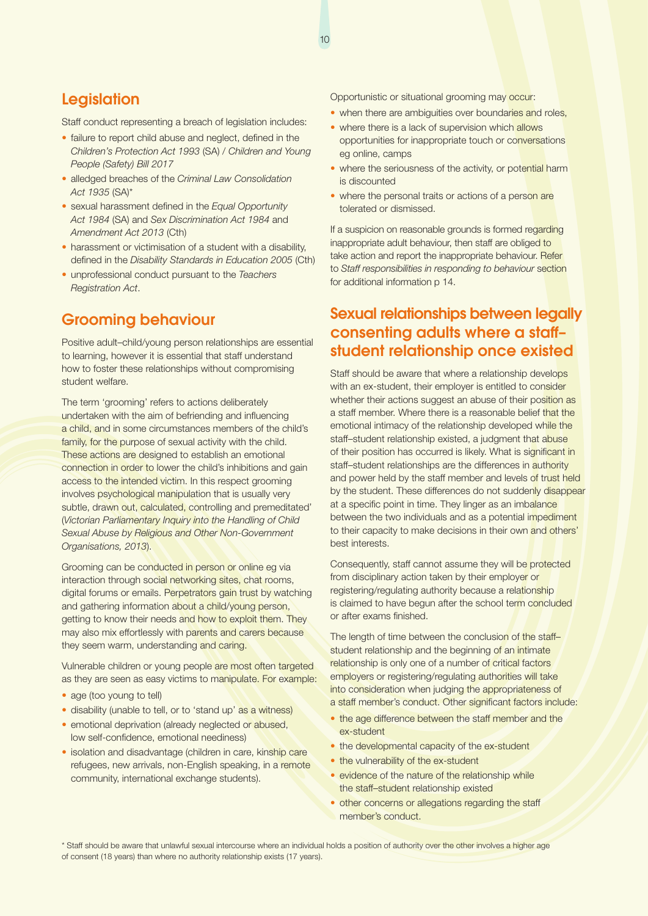## Legislation

Staff conduct representing a breach of legislation includes:

- failure to report child abuse and neglect, defined in the *Children's Protection Act 1993* (SA) / *Children and Young People (Safety) Bill 2017*
- alledged breaches of the *Criminal Law Consolidation Act 1935* (SA)\*
- sexual harassment defined in the *Equal Opportunity Act 1984* (SA) and *Sex Discrimination Act 1984* and *Amendment Act 2013* (Cth)
- harassment or victimisation of a student with a disability. defined in the *Disability Standards in Education 2005* (Cth)
- unprofessional conduct pursuant to the *Teachers Registration Act*.

## Grooming behaviour

Positive adult–child/young person relationships are essential to learning, however it is essential that staff understand how to foster these relationships without compromising student welfare.

The term 'grooming' refers to actions deliberately undertaken with the aim of befriending and influencing a child, and in some circumstances members of the child's family, for the purpose of sexual activity with the child. These actions are designed to establish an emotional connection in order to lower the child's inhibitions and gain access to the intended victim. In this respect grooming involves psychological manipulation that is usually very subtle, drawn out, calculated, controlling and premeditated' (*Victorian Parliamentary Inquiry into the Handling of Child Sexual Abuse by Religious and Other Non-Government Organisations, 2013*).

Grooming can be conducted in person or online eg via interaction through social networking sites, chat rooms, digital forums or emails. Perpetrators gain trust by watching and gathering information about a child/young person, getting to know their needs and how to exploit them. They may also mix effortlessly with parents and carers because they seem warm, understanding and caring.

Vulnerable children or young people are most often targeted as they are seen as easy victims to manipulate. For example:

- age (too young to tell)
- disability (unable to tell, or to 'stand up' as a witness)
- emotional deprivation (already neglected or abused, low self-confidence, emotional neediness)
- isolation and disadvantage (children in care, kinship care refugees, new arrivals, non-English speaking, in a remote community, international exchange students).

Opportunistic or situational grooming may occur:

- when there are ambiguities over boundaries and roles,
- where there is a lack of supervision which allows opportunities for inappropriate touch or conversations eg online, camps
- where the seriousness of the activity, or potential harm is discounted
- where the personal traits or actions of a person are tolerated or dismissed.

If a suspicion on reasonable grounds is formed regarding inappropriate adult behaviour, then staff are obliged to take action and report the inappropriate behaviour. Refer to *Staff responsibilities in responding to behaviour* section for additional information p 14.

## Sexual relationships between legally consenting adults where a staff– student relationship once existed

Staff should be aware that where a relationship develops with an ex-student, their employer is entitled to consider whether their actions suggest an abuse of their position as a staff member. Where there is a reasonable belief that the emotional intimacy of the relationship developed while the staff–student relationship existed, a judgment that abuse of their position has occurred is likely. What is significant in staff–student relationships are the differences in authority and power held by the staff member and levels of trust held by the student. These differences do not suddenly disappear at a specific point in time. They linger as an imbalance between the two individuals and as a potential impediment to their capacity to make decisions in their own and others' best interests.

Consequently, staff cannot assume they will be protected from disciplinary action taken by their employer or registering/regulating authority because a relationship is claimed to have begun after the school term concluded or after exams finished.

The length of time between the conclusion of the staffstudent relationship and the beginning of an intimate relationship is only one of a number of critical factors employers or registering/regulating authorities will take into consideration when judging the appropriateness of a staff member's conduct. Other significant factors include:

- the age difference between the staff member and the ex-student
- the developmental capacity of the ex-student
- the vulnerability of the ex-student
- evidence of the nature of the relationship while the staff–student relationship existed
- other concerns or allegations regarding the staff member's conduct.

\* Staff should be aware that unlawful sexual intercourse where an individual holds a position of authority over the other involves a higher age of consent (18 years) than where no authority relationship exists (17 years).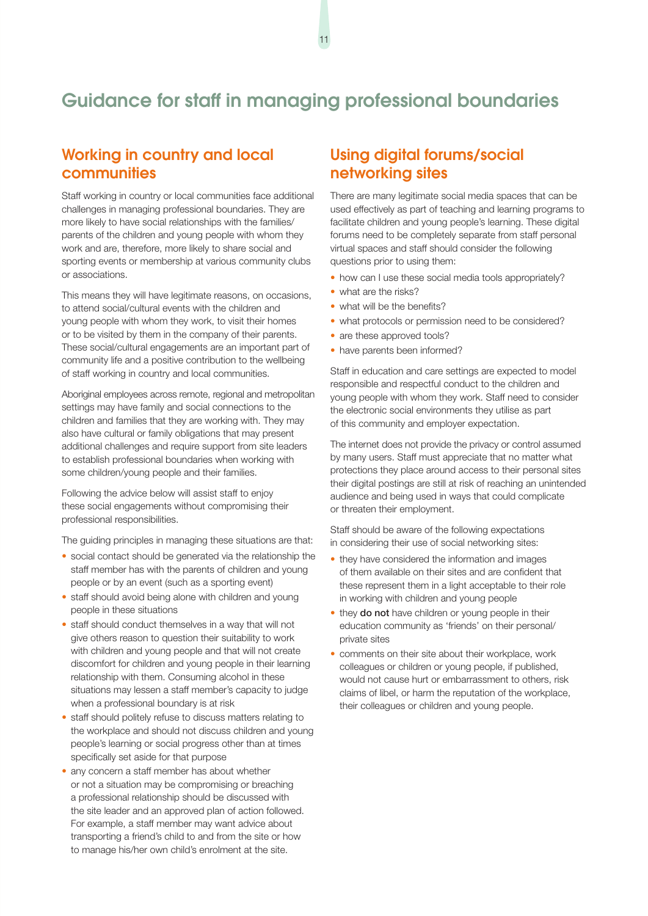# Guidance for staff in managing professional boundaries

## Working in country and local communities

Staff working in country or local communities face additional challenges in managing professional boundaries. They are more likely to have social relationships with the families/ parents of the children and young people with whom they work and are, therefore, more likely to share social and sporting events or membership at various community clubs or associations.

This means they will have legitimate reasons, on occasions, to attend social/cultural events with the children and young people with whom they work, to visit their homes or to be visited by them in the company of their parents. These social/cultural engagements are an important part of community life and a positive contribution to the wellbeing of staff working in country and local communities.

Aboriginal employees across remote, regional and metropolitan settings may have family and social connections to the children and families that they are working with. They may also have cultural or family obligations that may present additional challenges and require support from site leaders to establish professional boundaries when working with some children/young people and their families.

Following the advice below will assist staff to enjoy these social engagements without compromising their professional responsibilities.

The guiding principles in managing these situations are that:

- social contact should be generated via the relationship the staff member has with the parents of children and young people or by an event (such as a sporting event)
- staff should avoid being alone with children and young people in these situations
- staff should conduct themselves in a way that will not give others reason to question their suitability to work with children and young people and that will not create discomfort for children and young people in their learning relationship with them. Consuming alcohol in these situations may lessen a staff member's capacity to judge when a professional boundary is at risk
- staff should politely refuse to discuss matters relating to the workplace and should not discuss children and young people's learning or social progress other than at times specifically set aside for that purpose
- any concern a staff member has about whether or not a situation may be compromising or breaching a professional relationship should be discussed with the site leader and an approved plan of action followed. For example, a staff member may want advice about transporting a friend's child to and from the site or how to manage his/her own child's enrolment at the site.

## Using digital forums/social networking sites

There are many legitimate social media spaces that can be used effectively as part of teaching and learning programs to facilitate children and young people's learning. These digital forums need to be completely separate from staff personal virtual spaces and staff should consider the following questions prior to using them:

- how can I use these social media tools appropriately?
- what are the risks?
- what will be the benefits?
- what protocols or permission need to be considered?
- are these approved tools?
- have parents been informed?

Staff in education and care settings are expected to model responsible and respectful conduct to the children and young people with whom they work. Staff need to consider the electronic social environments they utilise as part of this community and employer expectation.

The internet does not provide the privacy or control assumed by many users. Staff must appreciate that no matter what protections they place around access to their personal sites their digital postings are still at risk of reaching an unintended audience and being used in ways that could complicate or threaten their employment.

Staff should be aware of the following expectations in considering their use of social networking sites:

- they have considered the information and images of them available on their sites and are confident that these represent them in a light acceptable to their role in working with children and young people
- they do not have children or young people in their education community as 'friends' on their personal/ private sites
- comments on their site about their workplace, work colleagues or children or young people, if published, would not cause hurt or embarrassment to others, risk claims of libel, or harm the reputation of the workplace, their colleagues or children and young people.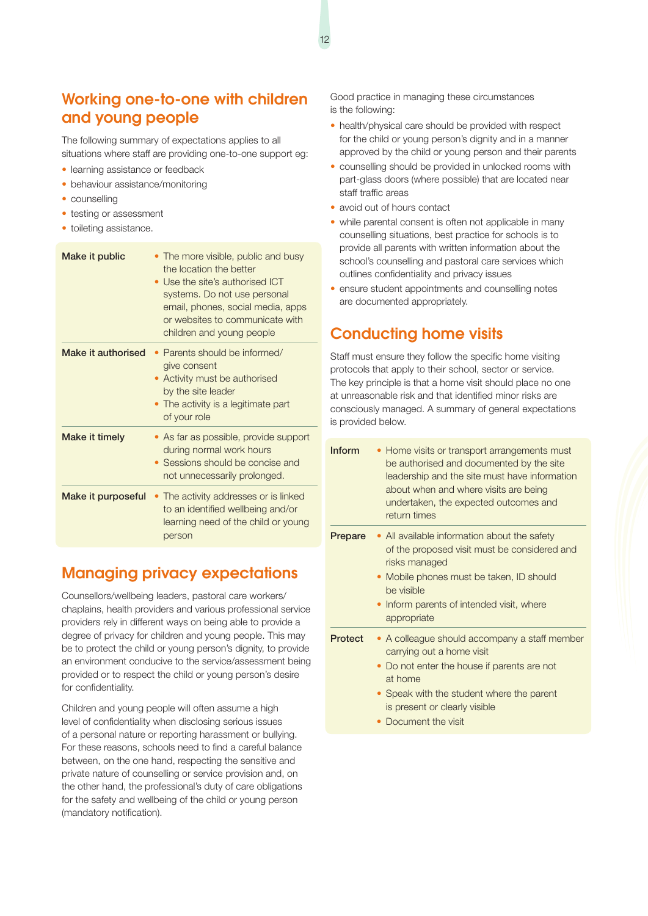## Working one-to-one with children and young people

The following summary of expectations applies to all situations where staff are providing one-to-one support eg:

- learning assistance or feedback
- behaviour assistance/monitoring
- counselling
- testing or assessment
- toileting assistance.

| Make it public     | • The more visible, public and busy<br>the location the better<br>• Use the site's authorised ICT<br>systems. Do not use personal<br>email, phones, social media, apps<br>or websites to communicate with<br>children and young people |
|--------------------|----------------------------------------------------------------------------------------------------------------------------------------------------------------------------------------------------------------------------------------|
| Make it authorised | Parents should be informed/<br>give consent<br>• Activity must be authorised<br>by the site leader<br>• The activity is a legitimate part<br>of your role                                                                              |
| Make it timely     | • As far as possible, provide support<br>during normal work hours<br>• Sessions should be concise and<br>not unnecessarily prolonged.                                                                                                  |
| Make it purposeful | The activity addresses or is linked<br>to an identified wellbeing and/or<br>learning need of the child or young<br>person                                                                                                              |

## Managing privacy expectations

Counsellors/wellbeing leaders, pastoral care workers/ chaplains, health providers and various professional service providers rely in different ways on being able to provide a degree of privacy for children and young people. This may be to protect the child or young person's dignity, to provide an environment conducive to the service/assessment being provided or to respect the child or young person's desire for confidentiality.

Children and young people will often assume a high level of confidentiality when disclosing serious issues of a personal nature or reporting harassment or bullying. For these reasons, schools need to find a careful balance between, on the one hand, respecting the sensitive and private nature of counselling or service provision and, on the other hand, the professional's duty of care obligations for the safety and wellbeing of the child or young person (mandatory notification).

Good practice in managing these circumstances is the following:

- health/physical care should be provided with respect for the child or young person's dignity and in a manner approved by the child or young person and their parents
- counselling should be provided in unlocked rooms with part-glass doors (where possible) that are located near staff traffic areas
- avoid out of hours contact
- while parental consent is often not applicable in many counselling situations, best practice for schools is to provide all parents with written information about the school's counselling and pastoral care services which outlines confidentiality and privacy issues
- ensure student appointments and counselling notes are documented appropriately.

## Conducting home visits

Staff must ensure they follow the specific home visiting protocols that apply to their school, sector or service. The key principle is that a home visit should place no one at unreasonable risk and that identified minor risks are consciously managed. A summary of general expectations is provided below.

| Inform         | • Home visits or transport arrangements must<br>be authorised and documented by the site<br>leadership and the site must have information<br>about when and where visits are being<br>undertaken, the expected outcomes and<br>return times |
|----------------|---------------------------------------------------------------------------------------------------------------------------------------------------------------------------------------------------------------------------------------------|
| Prepare        | • All available information about the safety<br>of the proposed visit must be considered and<br>risks managed<br>• Mobile phones must be taken, ID should<br>be visible<br>• Inform parents of intended visit, where<br>appropriate         |
| <b>Protect</b> | • A colleague should accompany a staff member<br>carrying out a home visit<br>• Do not enter the house if parents are not<br>at home<br>• Speak with the student where the parent<br>is present or clearly visible<br>Document the visit    |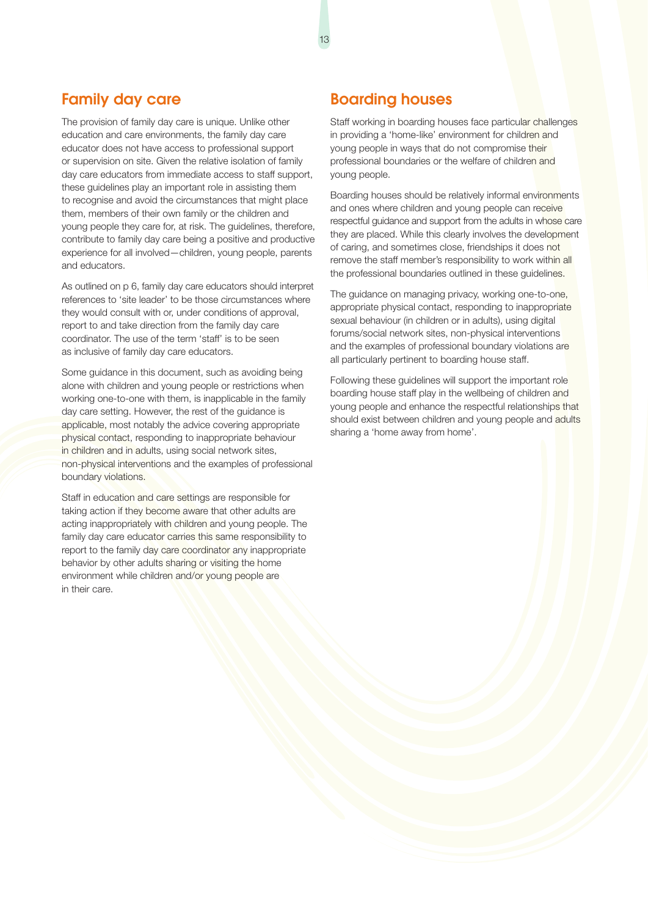## Family day care

The provision of family day care is unique. Unlike other education and care environments, the family day care educator does not have access to professional support or supervision on site. Given the relative isolation of family day care educators from immediate access to staff support, these guidelines play an important role in assisting them to recognise and avoid the circumstances that might place them, members of their own family or the children and young people they care for, at risk. The guidelines, therefore, contribute to family day care being a positive and productive experience for all involved—children, young people, parents and educators.

As outlined on p 6, family day care educators should interpret references to 'site leader' to be those circumstances where they would consult with or, under conditions of approval, report to and take direction from the family day care coordinator. The use of the term 'staff' is to be seen as inclusive of family day care educators.

Some guidance in this document, such as avoiding being alone with children and young people or restrictions when working one-to-one with them, is inapplicable in the family day care setting. However, the rest of the guidance is applicable, most notably the advice covering appropriate physical contact, responding to inappropriate behaviour in children and in adults, using social network sites, non-physical interventions and the examples of professional boundary violations.

Staff in education and care settings are responsible for taking action if they become aware that other adults are acting inappropriately with children and young people. The family day care educator carries this same responsibility to report to the family day care coordinator any inappropriate behavior by other adults sharing or visiting the home environment while children and/or young people are in their care.

#### Boarding houses

Staff working in boarding houses face particular challenges in providing a 'home-like' environment for children and young people in ways that do not compromise their professional boundaries or the welfare of children and young people.

Boarding houses should be relatively informal environments and ones where children and young people can receive respectful guidance and support from the adults in whose care they are placed. While this clearly involves the development of caring, and sometimes close, friendships it does not remove the staff member's responsibility to work within all the professional boundaries outlined in these guidelines.

The guidance on managing privacy, working one-to-one, appropriate physical contact, responding to inappropriate sexual behaviour (in children or in adults), using digital forums/social network sites, non-physical interventions and the examples of professional boundary violations are all particularly pertinent to boarding house staff.

Following these guidelines will support the important role boarding house staff play in the wellbeing of children and young people and enhance the respectful relationships that should exist between children and young people and adults sharing a 'home away from home'.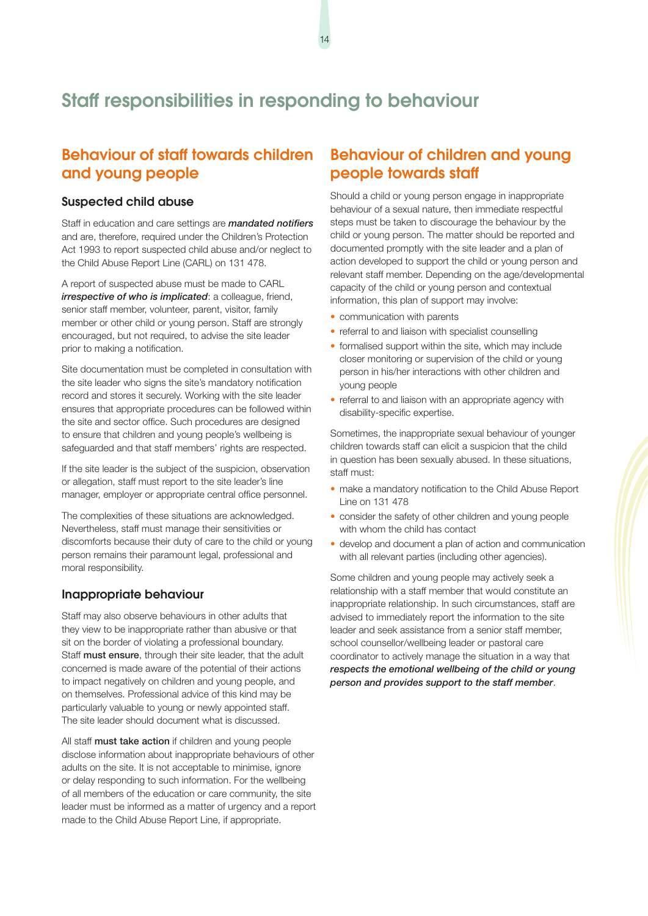# Staff responsibilities in responding to behaviour

## Behaviour of staff towards children and young people

#### Suspected child abuse

Staff in education and care settings are *mandated notifiers* and are, therefore, required under the Children's Protection Act 1993 to report suspected child abuse and/or neglect to the Child Abuse Report Line (CARL) on 131 478.

A report of suspected abuse must be made to CARL *irrespective of who is implicated*: a colleague, friend, senior staff member, volunteer, parent, visitor, family member or other child or young person. Staff are strongly encouraged, but not required, to advise the site leader prior to making a notification.

Site documentation must be completed in consultation with the site leader who signs the site's mandatory notification record and stores it securely. Working with the site leader ensures that appropriate procedures can be followed within the site and sector office. Such procedures are designed to ensure that children and young people's wellbeing is safeguarded and that staff members' rights are respected.

If the site leader is the subject of the suspicion, observation or allegation, staff must report to the site leader's line manager, employer or appropriate central office personnel.

The complexities of these situations are acknowledged. Nevertheless, staff must manage their sensitivities or discomforts because their duty of care to the child or young person remains their paramount legal, professional and moral responsibility.

#### Inappropriate behaviour

Staff may also observe behaviours in other adults that they view to be inappropriate rather than abusive or that sit on the border of violating a professional boundary. Staff must ensure, through their site leader, that the adult concerned is made aware of the potential of their actions to impact negatively on children and young people, and on themselves. Professional advice of this kind may be particularly valuable to young or newly appointed staff. The site leader should document what is discussed.

All staff must take action if children and young people disclose information about inappropriate behaviours of other adults on the site. It is not acceptable to minimise, ignore or delay responding to such information. For the wellbeing of all members of the education or care community, the site leader must be informed as a matter of urgency and a report made to the Child Abuse Report Line, if appropriate.

## Behaviour of children and young people towards staff

Should a child or young person engage in inappropriate behaviour of a sexual nature, then immediate respectful steps must be taken to discourage the behaviour by the child or young person. The matter should be reported and documented promptly with the site leader and a plan of action developed to support the child or young person and relevant staff member. Depending on the age/developmental capacity of the child or young person and contextual information, this plan of support may involve:

- communication with parents
- referral to and liaison with specialist counselling
- formalised support within the site, which may include closer monitoring or supervision of the child or young person in his/her interactions with other children and young people
- referral to and liaison with an appropriate agency with disability-specific expertise.

Sometimes, the inappropriate sexual behaviour of younger children towards staff can elicit a suspicion that the child in question has been sexually abused. In these situations, staff must:

- make a mandatory notification to the Child Abuse Report Line on 131 478
- consider the safety of other children and young people with whom the child has contact
- develop and document a plan of action and communication with all relevant parties (including other agencies).

Some children and young people may actively seek a relationship with a staff member that would constitute an inappropriate relationship. In such circumstances, staff are advised to immediately report the information to the site leader and seek assistance from a senior staff member, school counsellor/wellbeing leader or pastoral care coordinator to actively manage the situation in a way that *respects the emotional wellbeing of the child or young person and provides support to the staff member*.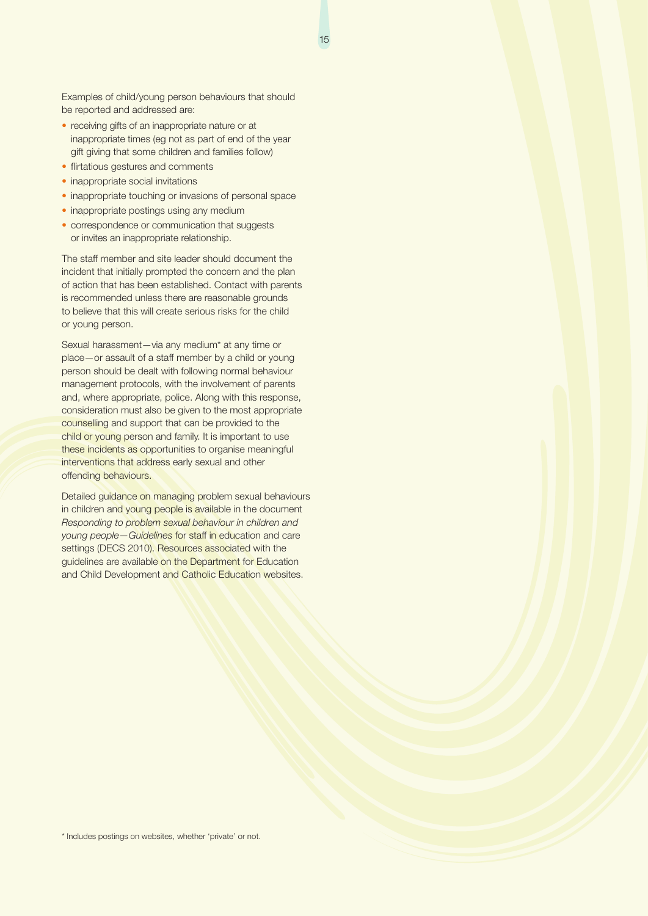Examples of child/young person behaviours that should be reported and addressed are:

- receiving gifts of an inappropriate nature or at inappropriate times (eg not as part of end of the year gift giving that some children and families follow)
- flirtatious gestures and comments
- inappropriate social invitations
- inappropriate touching or invasions of personal space
- inappropriate postings using any medium
- correspondence or communication that suggests or invites an inappropriate relationship.

The staff member and site leader should document the incident that initially prompted the concern and the plan of action that has been established. Contact with parents is recommended unless there are reasonable grounds to believe that this will create serious risks for the child or young person.

Sexual harassment—via any medium\* at any time or place—or assault of a staff member by a child or young person should be dealt with following normal behaviour management protocols, with the involvement of parents and, where appropriate, police. Along with this response, consideration must also be given to the most appropriate counselling and support that can be provided to the child or young person and family. It is important to use these incidents as opportunities to organise meaningful interventions that address early sexual and other offending behaviours.

Detailed guidance on managing problem sexual behaviours in children and young people is available in the document *[Responding to problem sexual behaviour in children and](https://www.decd.sa.gov.au/doc/responding-problem-sexual-behaviour-children-and-young-people)  [young people—Guidelines](https://www.decd.sa.gov.au/doc/responding-problem-sexual-behaviour-children-and-young-people)* for staff in education and care settings (DECS 2010). Resources associated with the guidelines are available on the [Department for Education](https://myintranet.learnlink.sa.edu.au/child-and-student-support/child-protection/site-responsibilities/how-to-manage-sexual-allegations-on-site)  [and Child Development](https://myintranet.learnlink.sa.edu.au/child-and-student-support/child-protection/site-responsibilities/how-to-manage-sexual-allegations-on-site) and [Catholic Education](http://www.cesa.catholic.edu.au/our-schools/safety-security/policies-publications) websites.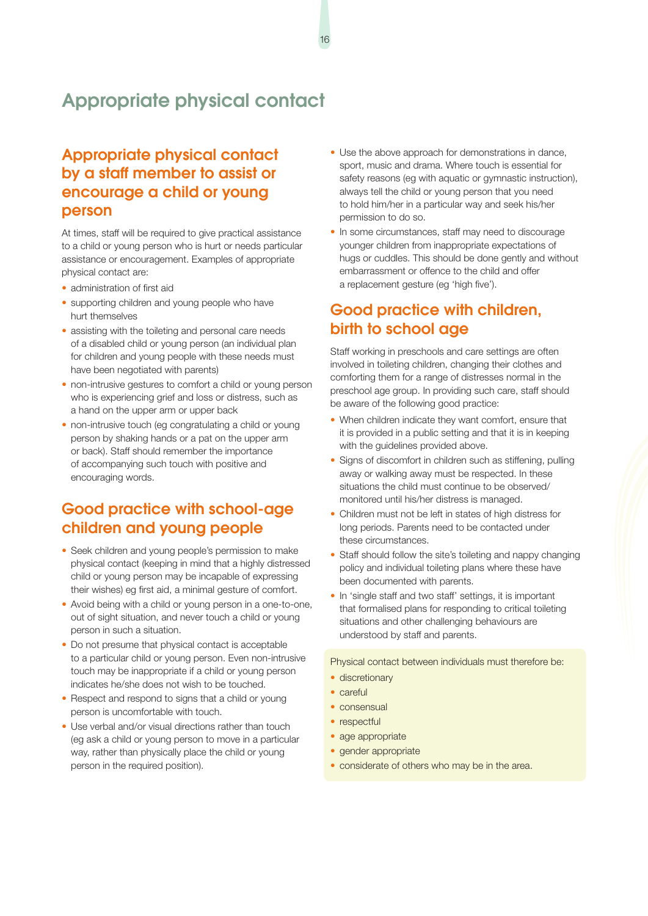## Appropriate physical contact

## Appropriate physical contact by a staff member to assist or encourage a child or young person

At times, staff will be required to give practical assistance to a child or young person who is hurt or needs particular assistance or encouragement. Examples of appropriate physical contact are:

- administration of first aid
- supporting children and young people who have hurt themselves
- assisting with the toileting and personal care needs of a disabled child or young person (an individual plan for children and young people with these needs must have been negotiated with parents)
- non-intrusive gestures to comfort a child or young person who is experiencing grief and loss or distress, such as a hand on the upper arm or upper back
- non-intrusive touch (eg congratulating a child or young person by shaking hands or a pat on the upper arm or back). Staff should remember the importance of accompanying such touch with positive and encouraging words.

## Good practice with school-age children and young people

- Seek children and young people's permission to make physical contact (keeping in mind that a highly distressed child or young person may be incapable of expressing their wishes) eg first aid, a minimal gesture of comfort.
- Avoid being with a child or young person in a one-to-one, out of sight situation, and never touch a child or young person in such a situation.
- Do not presume that physical contact is acceptable to a particular child or young person. Even non-intrusive touch may be inappropriate if a child or young person indicates he/she does not wish to be touched.
- Respect and respond to signs that a child or young person is uncomfortable with touch.
- Use verbal and/or visual directions rather than touch (eg ask a child or young person to move in a particular way, rather than physically place the child or young person in the required position).
- Use the above approach for demonstrations in dance, sport, music and drama. Where touch is essential for safety reasons (eg with aquatic or gymnastic instruction), always tell the child or young person that you need to hold him/her in a particular way and seek his/her permission to do so.
- In some circumstances, staff may need to discourage younger children from inappropriate expectations of hugs or cuddles. This should be done gently and without embarrassment or offence to the child and offer a replacement gesture (eg 'high five').

## Good practice with children, birth to school age

Staff working in preschools and care settings are often involved in toileting children, changing their clothes and comforting them for a range of distresses normal in the preschool age group. In providing such care, staff should be aware of the following good practice:

- When children indicate they want comfort, ensure that it is provided in a public setting and that it is in keeping with the guidelines provided above.
- Signs of discomfort in children such as stiffening, pulling away or walking away must be respected. In these situations the child must continue to be observed/ monitored until his/her distress is managed.
- Children must not be left in states of high distress for long periods. Parents need to be contacted under these circumstances.
- Staff should follow the site's toileting and nappy changing policy and individual toileting plans where these have been documented with parents.
- In 'single staff and two staff' settings, it is important that formalised plans for responding to critical toileting situations and other challenging behaviours are understood by staff and parents.

Physical contact between individuals must therefore be:

- discretionary
- careful
- consensual
- respectful
	- age appropriate
	- gender appropriate
	- considerate of others who may be in the area.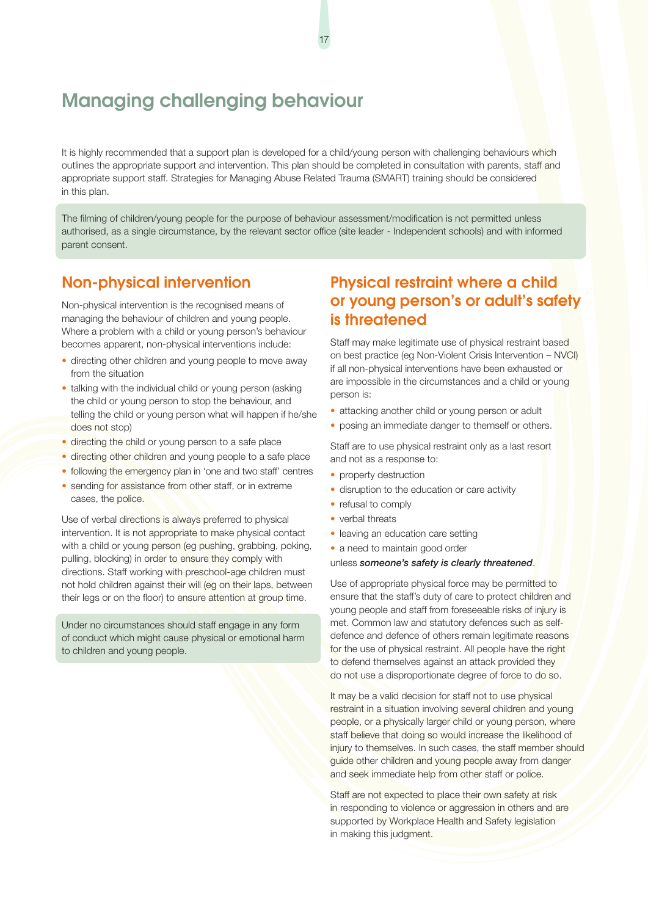# Managing challenging behaviour

It is highly recommended that a support plan is developed for a child/young person with challenging behaviours which outlines the appropriate support and intervention. This plan should be completed in consultation with parents, staff and appropriate support staff. Strategies for Managing Abuse Related Trauma (SMART) training should be considered in this plan.

The filming of children/young people for the purpose of behaviour assessment/modification is not permitted unless authorised, as a single circumstance, by the relevant sector office (site leader - Independent schools) and with informed parent consent.

## Non-physical intervention

Non-physical intervention is the recognised means of managing the behaviour of children and young people. Where a problem with a child or young person's behaviour becomes apparent, non-physical interventions include:

- directing other children and young people to move away from the situation
- talking with the individual child or young person (asking the child or young person to stop the behaviour, and telling the child or young person what will happen if he/she does not stop)
- directing the child or young person to a safe place
- directing other children and young people to a safe place
- following the emergency plan in 'one and two staff' centres
- sending for assistance from other staff, or in extreme cases, the police.

Use of verbal directions is always preferred to physical intervention. It is not appropriate to make physical contact with a child or young person (eg pushing, grabbing, poking, pulling, blocking) in order to ensure they comply with directions. Staff working with preschool-age children must not hold children against their will (eg on their laps, between their legs or on the floor) to ensure attention at group time.

Under no circumstances should staff engage in any form of conduct which might cause physical or emotional harm to children and young people.

## Physical restraint where a child or young person's or adult's safety is threatened

Staff may make legitimate use of physical restraint based on best practice (eg Non-Violent Crisis Intervention – NVCI) if all non-physical interventions have been exhausted or are impossible in the circumstances and a child or young person is:

- attacking another child or young person or adult
- posing an immediate danger to themself or others.

Staff are to use physical restraint only as a last resort and not as a response to:

- property destruction
- disruption to the education or care activity
- refusal to comply
- verbal threats
- leaving an education care setting
- a need to maintain good order

unless *someone's safety is clearly threatened*.

Use of appropriate physical force may be permitted to ensure that the staff's duty of care to protect children and young people and staff from foreseeable risks of injury is met. Common law and statutory defences such as selfdefence and defence of others remain legitimate reasons for the use of physical restraint. All people have the right to defend themselves against an attack provided they do not use a disproportionate degree of force to do so.

It may be a valid decision for staff not to use physical restraint in a situation involving several children and young people, or a physically larger child or young person, where staff believe that doing so would increase the likelihood of injury to themselves. In such cases, the staff member should guide other children and young people away from danger and seek immediate help from other staff or police.

Staff are not expected to place their own safety at risk in responding to violence or aggression in others and are supported by Workplace Health and Safety legislation in making this judgment.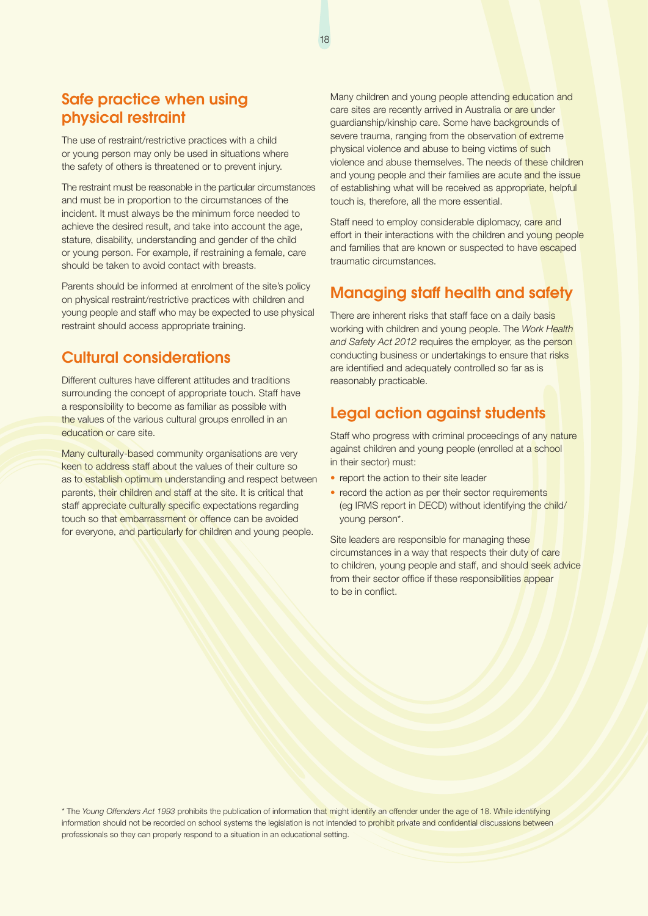## Safe practice when using physical restraint

The use of restraint/restrictive practices with a child or young person may only be used in situations where the safety of others is threatened or to prevent injury.

The restraint must be reasonable in the particular circumstances and must be in proportion to the circumstances of the incident. It must always be the minimum force needed to achieve the desired result, and take into account the age, stature, disability, understanding and gender of the child or young person. For example, if restraining a female, care should be taken to avoid contact with breasts.

Parents should be informed at enrolment of the site's policy on physical restraint/restrictive practices with children and young people and staff who may be expected to use physical restraint should access appropriate training.

## Cultural considerations

Different cultures have different attitudes and traditions surrounding the concept of appropriate touch. Staff have a responsibility to become as familiar as possible with the values of the various cultural groups enrolled in an education or care site.

Many culturally-based community organisations are very keen to address staff about the values of their culture so as to establish optimum understanding and respect between parents, their children and staff at the site. It is critical that staff appreciate culturally specific expectations regarding touch so that embarrassment or offence can be avoided for everyone, and particularly for children and young people.

Many children and young people attending education and care sites are recently arrived in Australia or are under guardianship/kinship care. Some have backgrounds of severe trauma, ranging from the observation of extreme physical violence and abuse to being victims of such violence and abuse themselves. The needs of these children and young people and their families are acute and the issue of establishing what will be received as appropriate, helpful touch is, therefore, all the more essential.

Staff need to employ considerable diplomacy, care and effort in their interactions with the children and young people and families that are known or suspected to have escaped traumatic circumstances.

## Managing staff health and safety

There are inherent risks that staff face on a daily basis working with children and young people. The *Work Health and Safety Act 2012* requires the employer, as the person conducting business or undertakings to ensure that risks are identified and adequately controlled so far as is reasonably practicable.

## Legal action against students

Staff who progress with criminal proceedings of any nature against children and young people (enrolled at a school in their sector) must:

- report the action to their site leader
- record the action as per their sector requirements (eg IRMS report in DECD) without identifying the child/ young person\*.

Site leaders are responsible for managing these circumstances in a way that respects their duty of care to children, young people and staff, and should seek advice from their sector office if these responsibilities appear to be in conflict.

\* The *Young Offenders Act 1993* prohibits the publication of information that might identify an offender under the age of 18. While identifying information should not be recorded on school systems the legislation is not intended to prohibit private and confidential discussions between professionals so they can properly respond to a situation in an educational setting.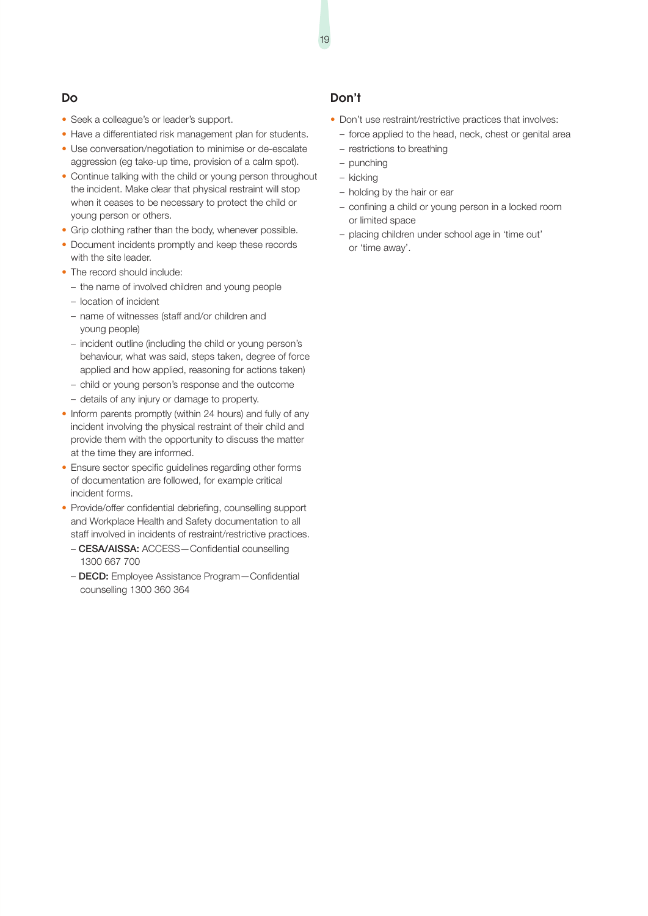19

#### Do

- Seek a colleague's or leader's support.
- Have a differentiated risk management plan for students.
- Use conversation/negotiation to minimise or de-escalate aggression (eg take-up time, provision of a calm spot).
- Continue talking with the child or young person throughout the incident. Make clear that physical restraint will stop when it ceases to be necessary to protect the child or young person or others.
- Grip clothing rather than the body, whenever possible.
- Document incidents promptly and keep these records with the site leader.
- The record should include:
	- the name of involved children and young people
	- location of incident
	- name of witnesses (staff and/or children and young people)
	- incident outline (including the child or young person's behaviour, what was said, steps taken, degree of force applied and how applied, reasoning for actions taken)
	- child or young person's response and the outcome
	- details of any injury or damage to property.
- Inform parents promptly (within 24 hours) and fully of any incident involving the physical restraint of their child and provide them with the opportunity to discuss the matter at the time they are informed.
- Ensure sector specific guidelines regarding other forms of documentation are followed, for example critical incident forms.
- Provide/offer confidential debriefing, counselling support and Workplace Health and Safety documentation to all staff involved in incidents of restraint/restrictive practices.
	- CESA/AISSA: ACCESS—Confidential counselling 1300 667 700
	- DECD: Employee Assistance Program—Confidential counselling 1300 360 364

#### Don't

- Don't use restraint/restrictive practices that involves:
	- force applied to the head, neck, chest or genital area
	- restrictions to breathing
	- punching
	- kicking
	- holding by the hair or ear
	- confining a child or young person in a locked room or limited space
	- placing children under school age in 'time out' or 'time away'.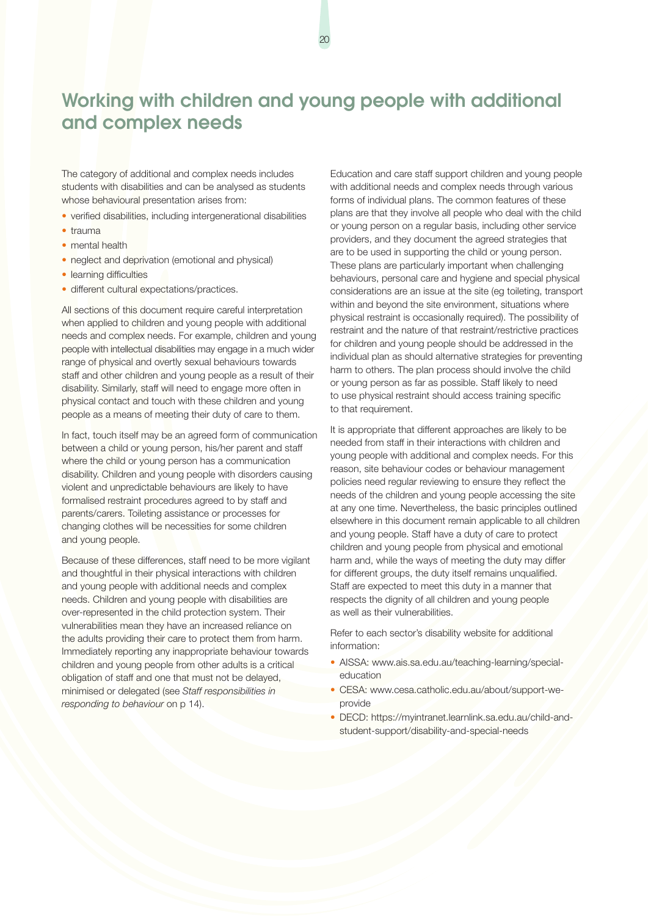# Working with children and young people with additional and complex needs

The category of additional and complex needs includes students with disabilities and can be analysed as students whose behavioural presentation arises from:

- verified disabilities, including intergenerational disabilities
- trauma
- mental health
- neglect and deprivation (emotional and physical)
- learning difficulties
- different cultural expectations/practices.

All sections of this document require careful interpretation when applied to children and young people with additional needs and complex needs. For example, children and young people with intellectual disabilities may engage in a much wider range of physical and overtly sexual behaviours towards staff and other children and young people as a result of their disability. Similarly, staff will need to engage more often in physical contact and touch with these children and young people as a means of meeting their duty of care to them.

In fact, touch itself may be an agreed form of communication between a child or young person, his/her parent and staff where the child or young person has a communication disability. Children and young people with disorders causing violent and unpredictable behaviours are likely to have formalised restraint procedures agreed to by staff and parents/carers. Toileting assistance or processes for changing clothes will be necessities for some children and young people.

Because of these differences, staff need to be more vigilant and thoughtful in their physical interactions with children and young people with additional needs and complex needs. Children and young people with disabilities are over-represented in the child protection system. Their vulnerabilities mean they have an increased reliance on the adults providing their care to protect them from harm. Immediately reporting any inappropriate behaviour towards children and young people from other adults is a critical obligation of staff and one that must not be delayed, minimised or delegated (see *Staff responsibilities in responding to behaviour* on p 14).

Education and care staff support children and young people with additional needs and complex needs through various forms of individual plans. The common features of these plans are that they involve all people who deal with the child or young person on a regular basis, including other service providers, and they document the agreed strategies that are to be used in supporting the child or young person. These plans are particularly important when challenging behaviours, personal care and hygiene and special physical considerations are an issue at the site (eg toileting, transport within and beyond the site environment, situations where physical restraint is occasionally required). The possibility of restraint and the nature of that restraint/restrictive practices for children and young people should be addressed in the individual plan as should alternative strategies for preventing harm to others. The plan process should involve the child or young person as far as possible. Staff likely to need to use physical restraint should access training specific to that requirement.

It is appropriate that different approaches are likely to be needed from staff in their interactions with children and young people with additional and complex needs. For this reason, site behaviour codes or behaviour management policies need regular reviewing to ensure they reflect the needs of the children and young people accessing the site at any one time. Nevertheless, the basic principles outlined elsewhere in this document remain applicable to all children and young people. Staff have a duty of care to protect children and young people from physical and emotional harm and, while the ways of meeting the duty may differ for different groups, the duty itself remains unqualified. Staff are expected to meet this duty in a manner that respects the dignity of all children and young people as well as their vulnerabilities.

Refer to each sector's disability website for additional information:

- [AISSA:](http://www.ais.sa.edu.au/teaching-learning/special-education) [www.ais.sa.edu.au/teaching-learning/special](www.ais.sa.edu.au/teaching-learning/special-education)[education](www.ais.sa.edu.au/teaching-learning/special-education)
- [CESA](http://www.cesa.catholic.edu.au/about/support-we-provide): [www.cesa.catholic.edu.au/about/support-we](www.cesa.catholic.edu.au/about/support-we-provide)[provide](www.cesa.catholic.edu.au/about/support-we-provide)
- [DECD](https://myintranet.learnlink.sa.edu.au/child-and-student-support/disability-and-special-needs): [https://myintranet.learnlink.sa.edu.au/child-and](https://myintranet.learnlink.sa.edu.au/child-and-student-support/disability-and-special-needs)[student-support/disability-and-special-needs](https://myintranet.learnlink.sa.edu.au/child-and-student-support/disability-and-special-needs)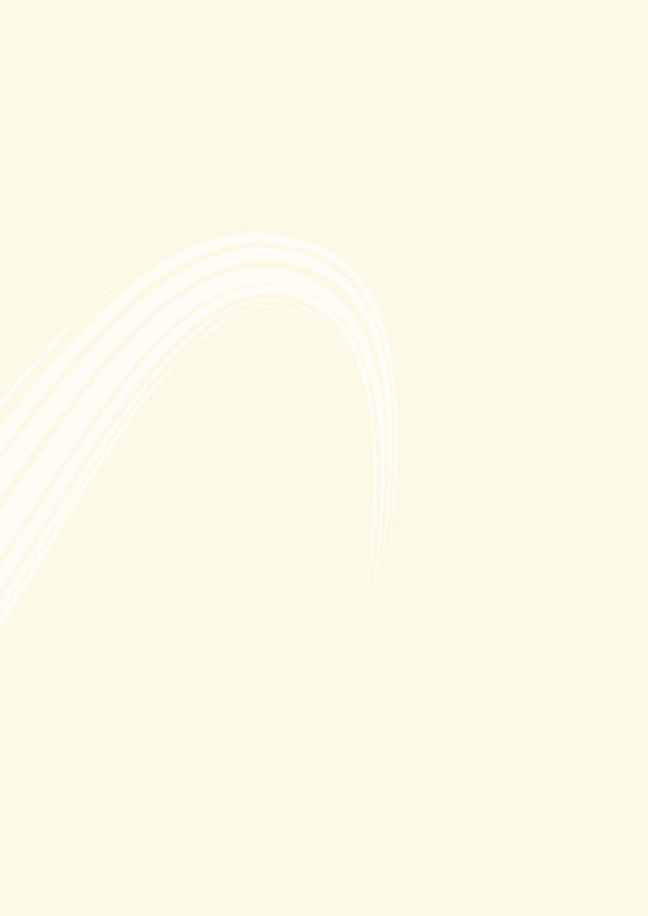